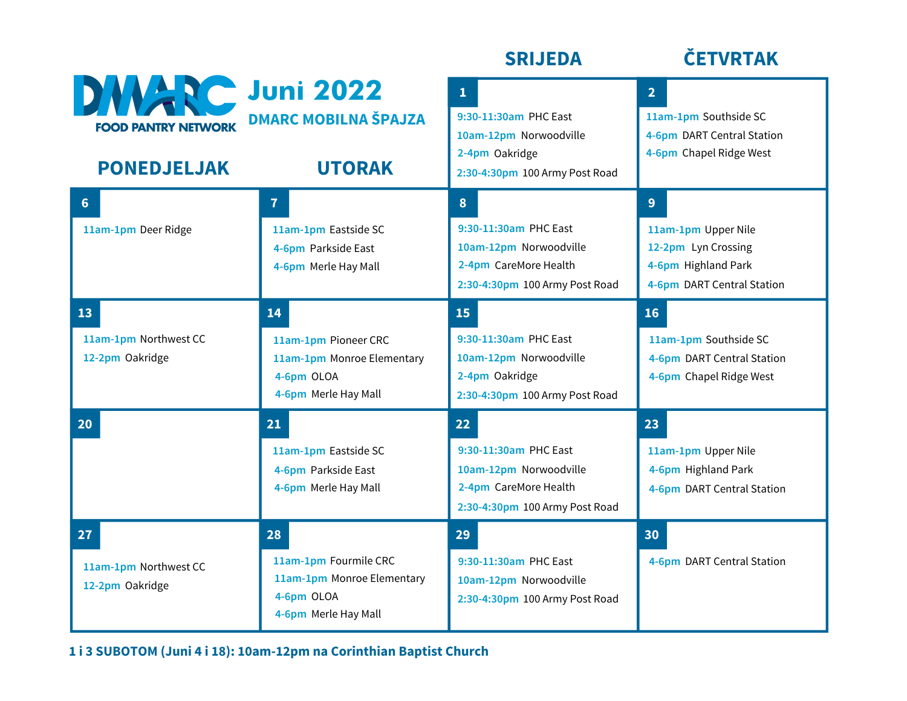|                                                                            |                                                                                                 | <b>SRIJEDA</b>                                                                                                      | <b>ČETVRTAK</b>                                                                                      |
|----------------------------------------------------------------------------|-------------------------------------------------------------------------------------------------|---------------------------------------------------------------------------------------------------------------------|------------------------------------------------------------------------------------------------------|
| <b>DWARE Juni 2022</b><br><b>FOOD PANTRY NETWORK</b><br><b>PONEDJELJAK</b> | <b>DMARC MOBILNA ŠPAJZA</b><br><b>UTORAK</b>                                                    | $\mathbf{1}$<br>9:30-11:30am PHC East<br>10am-12pm Norwoodville<br>2-4pm Oakridge<br>2:30-4:30pm 100 Army Post Road | 2 <sup>1</sup><br>11am-1pm Southside SC<br>4-6pm DART Central Station<br>4-6pm Chapel Ridge West     |
| $6\phantom{1}$<br>11am-1pm Deer Ridge                                      | $\overline{7}$<br>11am-1pm Eastside SC<br>4-6pm Parkside East<br>4-6pm Merle Hay Mall           | 8<br>9:30-11:30am PHC East<br>10am-12pm Norwoodville<br>2-4pm CareMore Health<br>2:30-4:30pm 100 Army Post Road     | 9<br>11am-1pm Upper Nile<br>12-2pm Lyn Crossing<br>4-6pm Highland Park<br>4-6pm DART Central Station |
| 13<br>11am-1pm Northwest CC<br>12-2pm Oakridge                             | 14<br>11am-1pm Pioneer CRC<br>11am-1pm Monroe Elementary<br>4-6pm OLOA<br>4-6pm Merle Hay Mall  | 15<br>9:30-11:30am PHC East<br>10am-12pm Norwoodville<br>2-4pm Oakridge<br>2:30-4:30pm 100 Army Post Road           | 16<br>11am-1pm Southside SC<br>4-6pm DART Central Station<br>4-6pm Chapel Ridge West                 |
| 20                                                                         | 21<br>11am-1pm Eastside SC<br>4-6pm Parkside East<br>4-6pm Merle Hay Mall                       | 22<br>9:30-11:30am PHC East<br>10am-12pm Norwoodville<br>2-4pm CareMore Health<br>2:30-4:30pm 100 Army Post Road    | 23<br>11am-1pm Upper Nile<br>4-6pm Highland Park<br>4-6pm DART Central Station                       |
| 27<br>11am-1pm Northwest CC<br>12-2pm Oakridge                             | 28<br>11am-1pm Fourmile CRC<br>11am-1pm Monroe Elementary<br>4-6pm OLOA<br>4-6pm Merle Hay Mall | 29<br>9:30-11:30am PHC East<br>10am-12pm Norwoodville<br>2:30-4:30pm 100 Army Post Road                             | 30<br>4-6pm DART Central Station                                                                     |

**1 i 3 SUBOTOM (Juni 4 i 18): 10am-12pm na Corinthian Baptist Church**